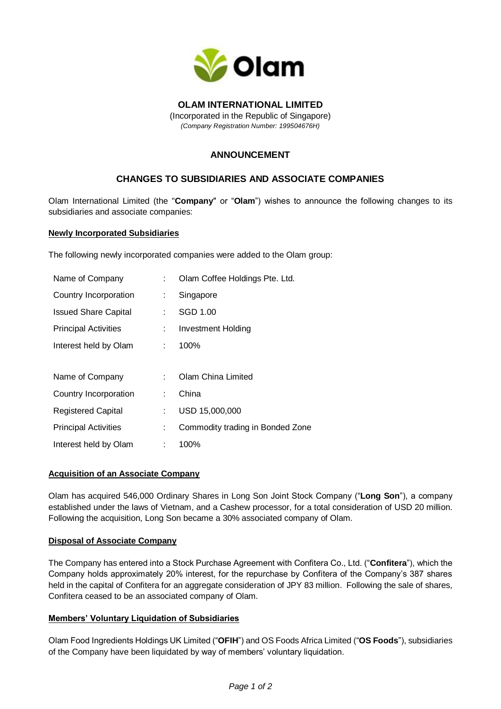

## **OLAM INTERNATIONAL LIMITED**

(Incorporated in the Republic of Singapore) *(Company Registration Number: 199504676H)*

## **ANNOUNCEMENT**

# **CHANGES TO SUBSIDIARIES AND ASSOCIATE COMPANIES**

Olam International Limited (the "**Company**" or "**Olam**") wishes to announce the following changes to its subsidiaries and associate companies:

## **Newly Incorporated Subsidiaries**

The following newly incorporated companies were added to the Olam group:

| Name of Company             |    | Olam Coffee Holdings Pte. Ltd.   |
|-----------------------------|----|----------------------------------|
| Country Incorporation       | t. | Singapore                        |
| <b>Issued Share Capital</b> | ÷. | SGD 1.00                         |
| <b>Principal Activities</b> | ÷. | <b>Investment Holding</b>        |
| Interest held by Olam       | t. | 100%                             |
|                             |    |                                  |
| Name of Company             | t. | Olam China Limited               |
| Country Incorporation       | ÷. | China                            |
| <b>Registered Capital</b>   | ÷  | USD 15,000,000                   |
| <b>Principal Activities</b> | t. | Commodity trading in Bonded Zone |
| Interest held by Olam       | ÷  | 100%                             |

## **Acquisition of an Associate Company**

Olam has acquired 546,000 Ordinary Shares in Long Son Joint Stock Company ("**Long Son**"), a company established under the laws of Vietnam, and a Cashew processor, for a total consideration of USD 20 million. Following the acquisition, Long Son became a 30% associated company of Olam.

## **Disposal of Associate Company**

The Company has entered into a Stock Purchase Agreement with Confitera Co., Ltd. ("**Confitera**"), which the Company holds approximately 20% interest, for the repurchase by Confitera of the Company's 387 shares held in the capital of Confitera for an aggregate consideration of JPY 83 million. Following the sale of shares, Confitera ceased to be an associated company of Olam.

## **Members' Voluntary Liquidation of Subsidiaries**

Olam Food Ingredients Holdings UK Limited ("**OFIH**") and OS Foods Africa Limited ("**OS Foods**"), subsidiaries of the Company have been liquidated by way of members' voluntary liquidation.